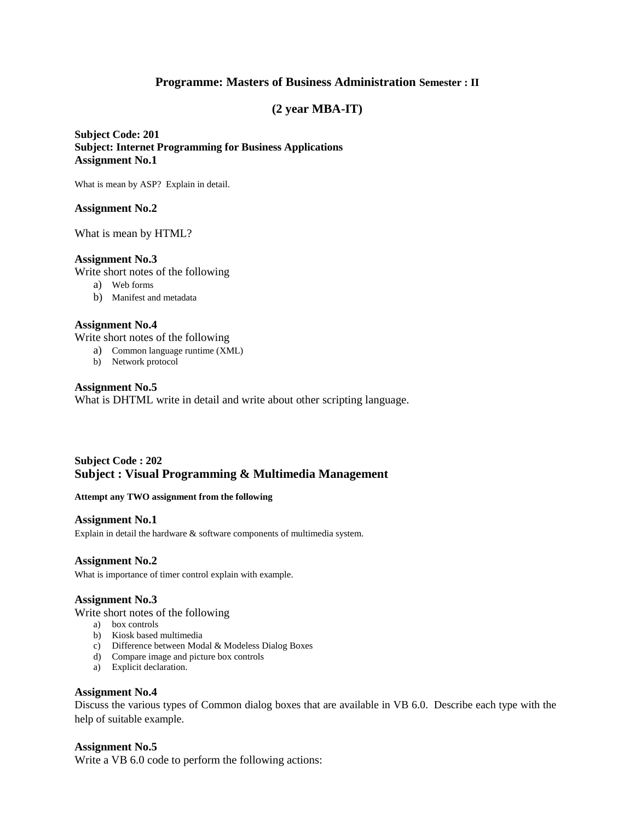# **Programme: Masters of Business Administration Semester : II**

# **(2 year MBA-IT)**

**Subject Code: 201 Subject: Internet Programming for Business Applications Assignment No.1**

What is mean by ASP? Explain in detail.

## **Assignment No.2**

What is mean by HTML?

## **Assignment No.3**

Write short notes of the following

- a) Web forms
- b) Manifest and metadata

# **Assignment No.4**

Write short notes of the following

- a) Common language runtime (XML)
- b) Network protocol

#### **Assignment No.5**

What is DHTML write in detail and write about other scripting language.

# **Subject Code : 202 Subject : Visual Programming & Multimedia Management**

#### **Attempt any TWO assignment from the following**

#### **Assignment No.1**

Explain in detail the hardware & software components of multimedia system.

#### **Assignment No.2**

What is importance of timer control explain with example.

#### **Assignment No.3**

Write short notes of the following

- a) box controls
- b) Kiosk based multimedia
- c) Difference between Modal & Modeless Dialog Boxes
- d) Compare image and picture box controls
- a) Explicit declaration.

## **Assignment No.4**

Discuss the various types of Common dialog boxes that are available in VB 6.0. Describe each type with the help of suitable example.

#### **Assignment No.5**

Write a VB 6.0 code to perform the following actions: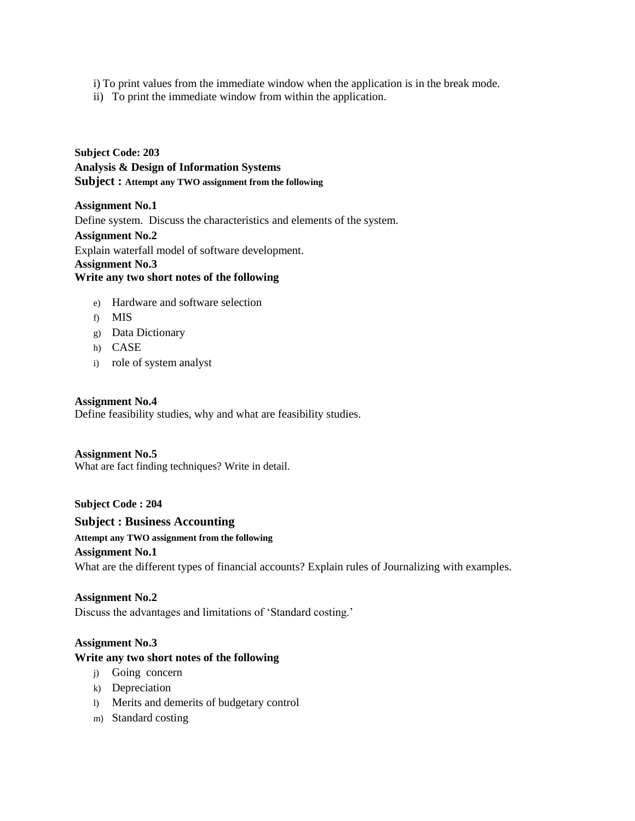i) To print values from the immediate window when the application is in the break mode.

ii) To print the immediate window from within the application.

**Subject Code: 203 Analysis & Design of Information Systems Subject : Attempt any TWO assignment from the following**

**Assignment No.1**  Define system. Discuss the characteristics and elements of the system. **Assignment No.2**  Explain waterfall model of software development. **Assignment No.3 Write any two short notes of the following**

- e) Hardware and software selection
- f) MIS
- g) Data Dictionary
- h) CASE
- i) role of system analyst

**Assignment No.4** Define feasibility studies, why and what are feasibility studies.

**Assignment No.5** What are fact finding techniques? Write in detail.

**Subject Code : 204 Subject : Business Accounting Attempt any TWO assignment from the following Assignment No.1**  What are the different types of financial accounts? Explain rules of Journalizing with examples.

**Assignment No.2** 

Discuss the advantages and limitations of 'Standard costing.'

# **Assignment No.3**

# **Write any two short notes of the following**

- j) Going concern
- k) Depreciation
- l) Merits and demerits of budgetary control
- m) Standard costing